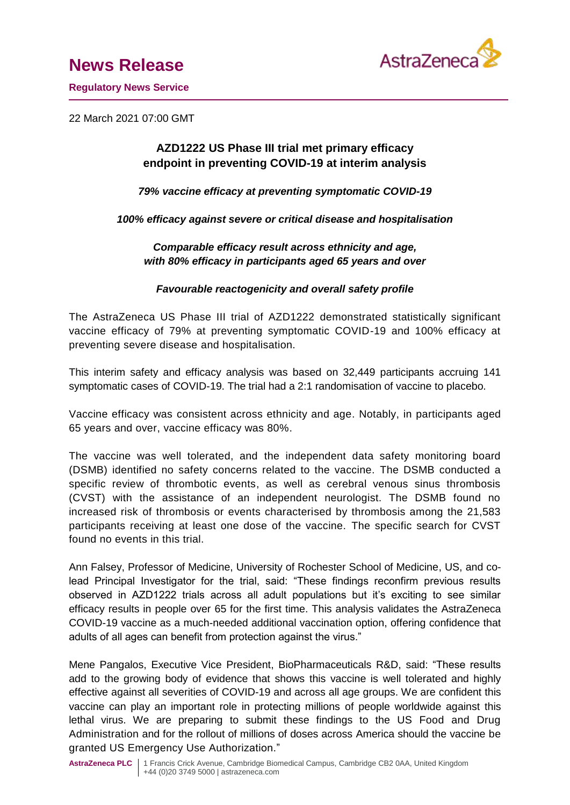# **News Release**



**Regulatory News Service**

22 March 2021 07:00 GMT

## **AZD1222 US Phase III trial met primary efficacy endpoint in preventing COVID-19 at interim analysis**

*79% vaccine efficacy at preventing symptomatic COVID-19*

*100% efficacy against severe or critical disease and hospitalisation*

*Comparable efficacy result across ethnicity and age, with 80% efficacy in participants aged 65 years and over*

## *Favourable reactogenicity and overall safety profile*

The AstraZeneca US Phase III trial of AZD1222 demonstrated statistically significant vaccine efficacy of 79% at preventing symptomatic COVID-19 and 100% efficacy at preventing severe disease and hospitalisation.

This interim safety and efficacy analysis was based on 32,449 participants accruing 141 symptomatic cases of COVID-19. The trial had a 2:1 randomisation of vaccine to placebo.

Vaccine efficacy was consistent across ethnicity and age. Notably, in participants aged 65 years and over, vaccine efficacy was 80%.

The vaccine was well tolerated, and the independent data safety monitoring board (DSMB) identified no safety concerns related to the vaccine. The DSMB conducted a specific review of thrombotic events, as well as cerebral venous sinus thrombosis (CVST) with the assistance of an independent neurologist. The DSMB found no increased risk of thrombosis or events characterised by thrombosis among the 21,583 participants receiving at least one dose of the vaccine. The specific search for CVST found no events in this trial.

Ann Falsey, Professor of Medicine, University of Rochester School of Medicine, US, and colead Principal Investigator for the trial, said: "These findings reconfirm previous results observed in AZD1222 trials across all adult populations but it's exciting to see similar efficacy results in people over 65 for the first time. This analysis validates the AstraZeneca COVID-19 vaccine as a much-needed additional vaccination option, offering confidence that adults of all ages can benefit from protection against the virus."

Mene Pangalos, Executive Vice President, BioPharmaceuticals R&D, said: "These results add to the growing body of evidence that shows this vaccine is well tolerated and highly effective against all severities of COVID-19 and across all age groups. We are confident this vaccine can play an important role in protecting millions of people worldwide against this lethal virus. We are preparing to submit these findings to the US Food and Drug Administration and for the rollout of millions of doses across America should the vaccine be granted US Emergency Use Authorization."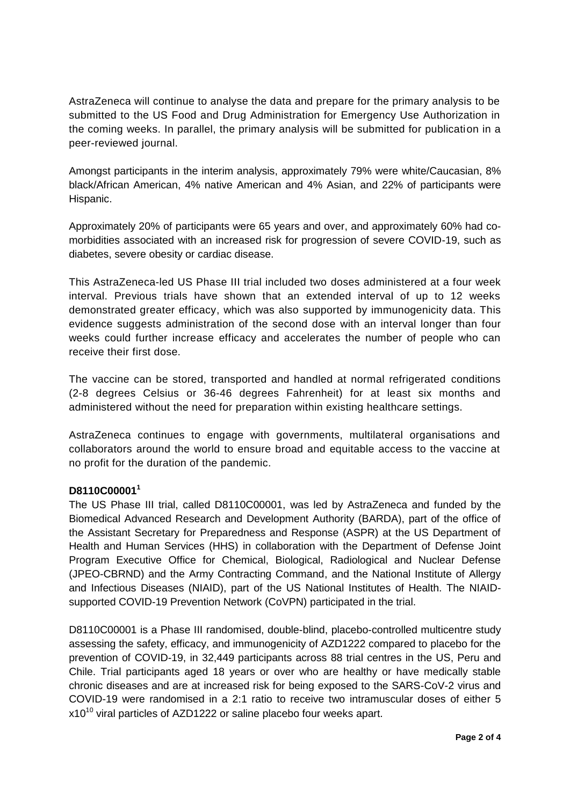AstraZeneca will continue to analyse the data and prepare for the primary analysis to be submitted to the US Food and Drug Administration for Emergency Use Authorization in the coming weeks. In parallel, the primary analysis will be submitted for publication in a peer-reviewed journal.

Amongst participants in the interim analysis, approximately 79% were white/Caucasian, 8% black/African American, 4% native American and 4% Asian, and 22% of participants were Hispanic.

Approximately 20% of participants were 65 years and over, and approximately 60% had comorbidities associated with an increased risk for progression of severe COVID-19, such as diabetes, severe obesity or cardiac disease.

This AstraZeneca-led US Phase III trial included two doses administered at a four week interval. Previous trials have shown that an extended interval of up to 12 weeks demonstrated greater efficacy, which was also supported by immunogenicity data. This evidence suggests administration of the second dose with an interval longer than four weeks could further increase efficacy and accelerates the number of people who can receive their first dose.

The vaccine can be stored, transported and handled at normal refrigerated conditions (2-8 degrees Celsius or 36-46 degrees Fahrenheit) for at least six months and administered without the need for preparation within existing healthcare settings.

AstraZeneca continues to engage with governments, multilateral organisations and collaborators around the world to ensure broad and equitable access to the vaccine at no profit for the duration of the pandemic.

## **D8110C00001<sup>1</sup>**

The US Phase III trial, called D8110C00001, was led by AstraZeneca and funded by the Biomedical Advanced Research and Development Authority (BARDA), part of the office of the Assistant Secretary for Preparedness and Response (ASPR) at the US Department of Health and Human Services (HHS) in collaboration with the Department of Defense Joint Program Executive Office for Chemical, Biological, Radiological and Nuclear Defense (JPEO-CBRND) and the Army Contracting Command, and the National Institute of Allergy and Infectious Diseases (NIAID), part of the US National Institutes of Health. The NIAIDsupported COVID-19 Prevention Network (CoVPN) participated in the trial.

D8110C00001 is a Phase III randomised, double-blind, placebo-controlled multicentre study assessing the safety, efficacy, and immunogenicity of AZD1222 compared to placebo for the prevention of COVID-19, in 32,449 participants across 88 trial centres in the US, Peru and Chile. Trial participants aged 18 years or over who are healthy or have medically stable chronic diseases and are at increased risk for being exposed to the SARS-CoV-2 virus and COVID-19 were randomised in a 2:1 ratio to receive two intramuscular doses of either 5  $x10^{10}$  viral particles of AZD1222 or saline placebo four weeks apart.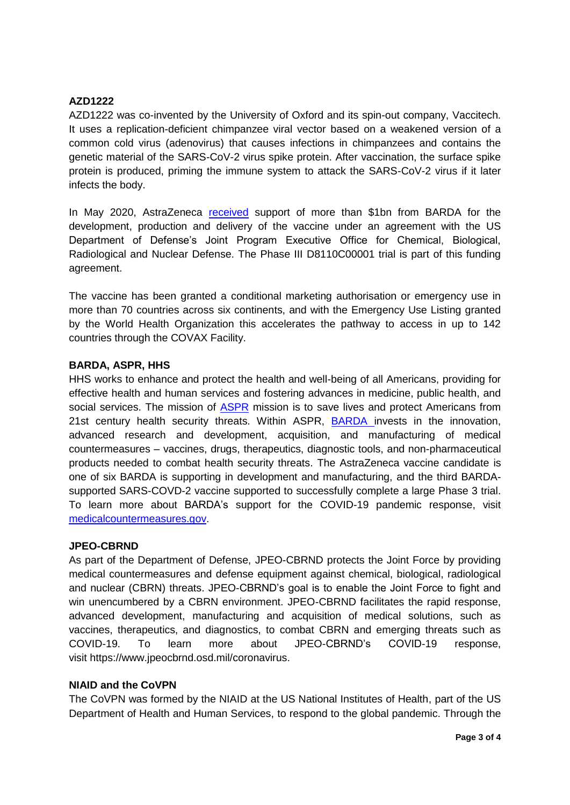## **AZD1222**

AZD1222 was co-invented by the University of Oxford and its spin-out company, Vaccitech. It uses a replication-deficient chimpanzee viral vector based on a weakened version of a common cold virus (adenovirus) that causes infections in chimpanzees and contains the genetic material of the SARS-CoV-2 virus spike protein. After vaccination, the surface spike protein is produced, priming the immune system to attack the SARS-CoV-2 virus if it later infects the body.

In May 2020, AstraZeneca [received](https://www.astrazeneca.com/media-centre/press-releases/2020/astrazeneca-advances-response-to-global-covid-19-challenge-as-it-receives-first-commitments-for-oxfords-potential-new-vaccine.html) support of more than \$1bn from BARDA for the development, production and delivery of the vaccine under an agreement with the US Department of Defense's Joint Program Executive Office for Chemical, Biological, Radiological and Nuclear Defense. The Phase III D8110C00001 trial is part of this funding agreement.

The vaccine has been granted a conditional marketing authorisation or emergency use in more than 70 countries across six continents, and with the Emergency Use Listing granted by the World Health Organization this accelerates the pathway to access in up to 142 countries through the COVAX Facility.

## **BARDA, ASPR, HHS**

HHS works to enhance and protect the health and well-being of all Americans, providing for effective health and human services and fostering advances in medicine, public health, and social services. The mission of [ASPR](https://www.medicalcountermeasures.gov/glossary.aspx#ASPR) mission is to save lives and protect Americans from 21st century health security threats. Within ASPR, [BARDA](https://www.medicalcountermeasures.gov/glossary.aspx#BARDA) invests in the innovation, advanced research and development, acquisition, and manufacturing of medical countermeasures – vaccines, drugs, therapeutics, diagnostic tools, and non-pharmaceutical products needed to combat health security threats. The AstraZeneca vaccine candidate is one of six BARDA is supporting in development and manufacturing, and the third BARDAsupported SARS-COVD-2 vaccine supported to successfully complete a large Phase 3 trial. To learn more about BARDA's support for the COVID-19 pandemic response, visit [medicalcountermeasures.gov.](http://www.coronavirus.gov/)

#### **JPEO-CBRND**

As part of the Department of Defense, JPEO-CBRND protects the Joint Force by providing medical countermeasures and defense equipment against chemical, biological, radiological and nuclear (CBRN) threats. JPEO-CBRND's goal is to enable the Joint Force to fight and win unencumbered by a CBRN environment. JPEO-CBRND facilitates the rapid response, advanced development, manufacturing and acquisition of medical solutions, such as vaccines, therapeutics, and diagnostics, to combat CBRN and emerging threats such as COVID-19. To learn more about JPEO-CBRND's COVID-19 response, visit [https://www.jpeocbrnd.osd.mil/coronavirus.](https://www.jpeocbrnd.osd.mil/coronavirus)

#### **NIAID and the CoVPN**

The CoVPN was formed by the NIAID at the US National Institutes of Health, part of the US Department of Health and Human Services, to respond to the global pandemic. Through the